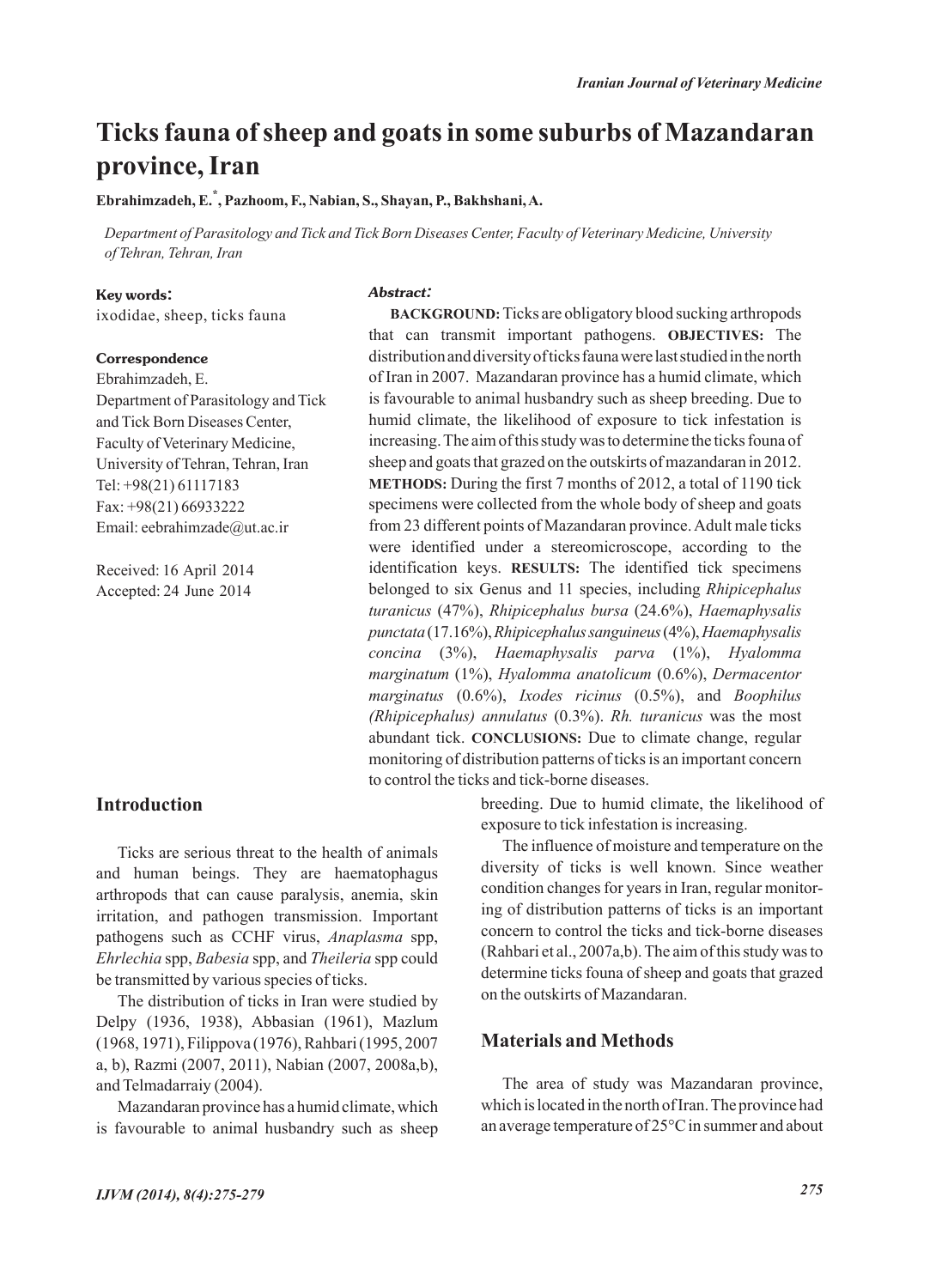# **Ticks fauna of sheep and goats in some suburbs of Mazandaran province, Iran**

**Ebrahimzadeh, E.\* , Pazhoom, F., Nabian, S., Shayan, P., Bakhshani, A.**

*Department of Parasitology and Tick and Tick Born Diseases Center, Faculty of Veterinary Medicine, University of Tehran, Tehran, Iran*

#### **Key words:**

ixodidae, sheep, ticks fauna

#### **Correspondence**

Ebrahimzadeh, E. Department of Parasitology and Tick and Tick Born Diseases Center, Faculty of Veterinary Medicine, University of Tehran, Tehran, Iran Tel: +98(21) 61117183 Fax: +98(21) 66933222 Email: eebrahimzade@ut.ac.ir

Received: 16 April 2014 Accepted: 24 June 2014

# *Abstract:*

**BACKGROUND:**Ticks are obligatory blood sucking arthropods that can transmit important pathogens. **OBJECTIVES:** The distribution and diversity of ticks fauna were last studied in the north of Iran in 2007. Mazandaran province has a humid climate, which is favourable to animal husbandry such as sheep breeding. Due to humid climate, the likelihood of exposure to tick infestation is increasing. The aim of this study was to determine the ticks founa of sheep and goats that grazed on the outskirts of mazandaran in 2012. **METHODS:** During the first 7 months of 2012, a total of 1190 tick specimens were collected from the whole body of sheep and goats from 23 different points of Mazandaran province. Adult male ticks were identified under a stereomicroscope, according to the identification keys. **RESULTS:** The identified tick specimens belonged to six Genus and 11 species, including *Rhipicephalus turanicus* (47%), *Rhipicephalus bursa* (24.6%), *Haemaphysalis punctata*(17.16%), *Rhipicephalus sanguineus*(4%), *Haemaphysalis concina* (3%), *Haemaphysalis parva* (1%), *Hyalomma marginatum* (1%), *Hyalomma anatolicum* (0.6%), *Dermacentor marginatus* (0.6%), *Ixodes ricinus* (0.5%), and *Boophilus (Rhipicephalus) annulatus* (0.3%). *Rh. turanicus* was the most abundant tick. **CONCLUSIONS:** Due to climate change, regular monitoring of distribution patterns of ticks is an important concern to control the ticks and tick-borne diseases.

### **Introduction**

Ticks are serious threat to the health of animals and human beings. They are haematophagus arthropods that can cause paralysis, anemia, skin irritation, and pathogen transmission. Important pathogens such as CCHF virus, *Anaplasma* spp, *Ehrlechia* spp, *Babesia* spp, and *Theileria* spp could be transmitted by various species of ticks.

The distribution of ticks in Iran were studied by Delpy (1936, 1938), Abbasian (1961), Mazlum (1968, 1971), Filippova (1976), Rahbari (1995, 2007 a, b), Razmi (2007, 2011), Nabian (2007, 2008a,b), and Telmadarraiy (2004).

Mazandaran province has a humid climate, which is favourable to animal husbandry such as sheep breeding. Due to humid climate, the likelihood of exposure to tick infestation is increasing.

The influence of moisture and temperature on the diversity of ticks is well known. Since weather condition changes for years in Iran, regular monitoring of distribution patterns of ticks is an important concern to control the ticks and tick-borne diseases (Rahbari et al., 2007a,b). The aim of this study was to determine ticks founa of sheep and goats that grazed on the outskirts of Mazandaran.

# **Materials and Methods**

The area of study was Mazandaran province, which is located in the north of Iran. The province had an average temperature of 25°C in summer and about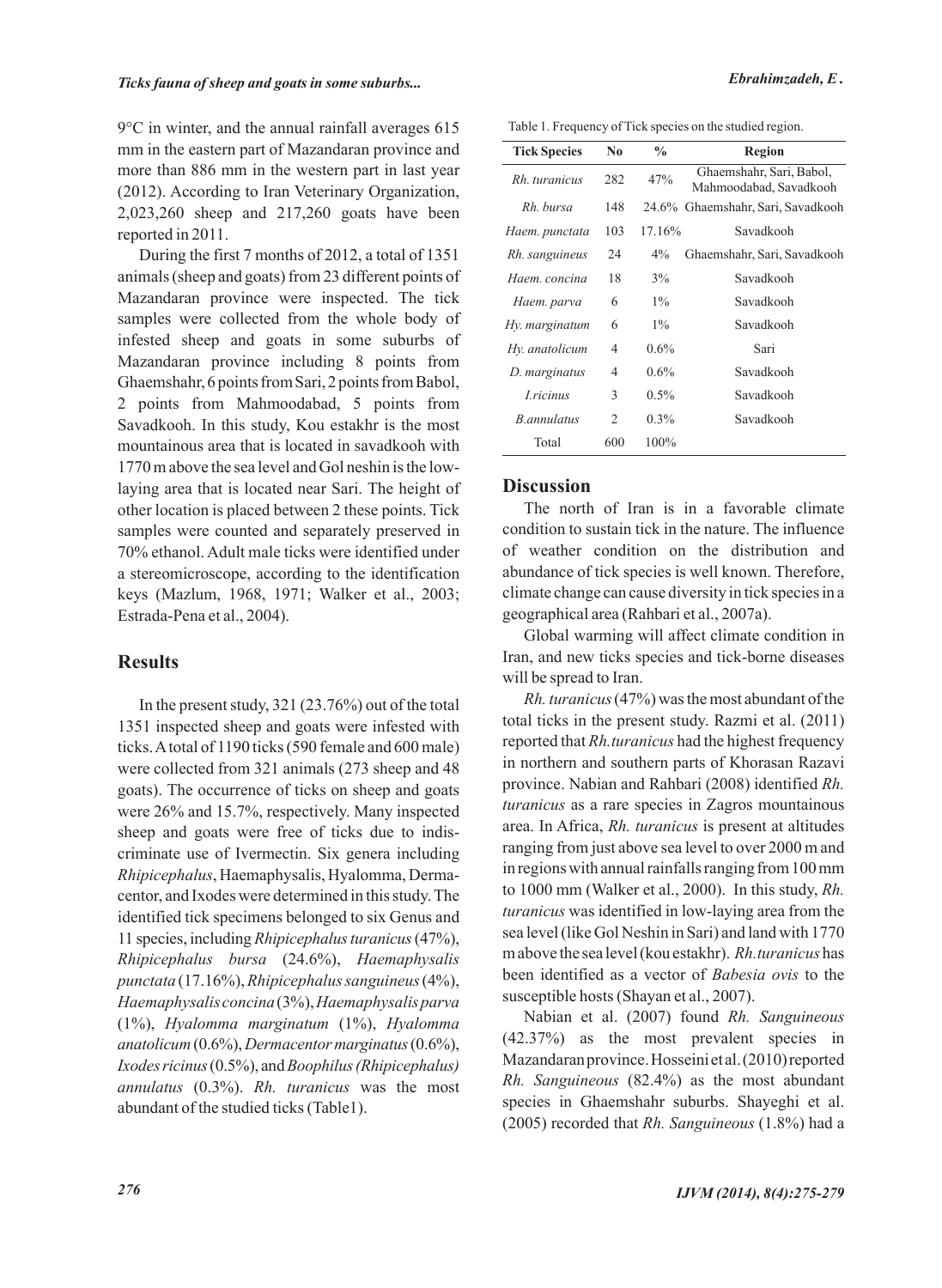9°C in winter, and the annual rainfall averages 615 mm in the eastern part of Mazandaran province and more than 886 mm in the western part in last year (2012). According to Iran Veterinary Organization, 2,023,260 sheep and 217,260 goats have been reported in 2011.

During the first 7 months of 2012, a total of 1351 animals (sheep and goats) from 23 different points of Mazandaran province were inspected. The tick samples were collected from the whole body of infested sheep and goats in some suburbs of Mazandaran province including 8 points from Ghaemshahr, 6 points from Sari, 2 points from Babol, 2 points from Mahmoodabad, 5 points from Savadkooh. In this study, Kou estakhr is the most mountainous area that is located in savadkooh with 1770 m above the sea level and Gol neshin is the lowlaying area that is located near Sari. The height of other location is placed between 2 these points. Tick samples were counted and separately preserved in 70% ethanol. Adult male ticks were identified under a stereomicroscope, according to the identification keys (Mazlum, 1968, 1971; Walker et al., 2003; Estrada-Pena et al., 2004).

# **Results**

In the present study, 321 (23.76%) out of the total 1351 inspected sheep and goats were infested with ticks. Atotal of 1190 ticks (590 female and 600 male) were collected from 321 animals (273 sheep and 48 goats). The occurrence of ticks on sheep and goats were 26% and 15.7%, respectively. Many inspected sheep and goats were free of ticks due to indiscriminate use of Ivermectin. Six genera including *Rhipicephalus*, Haemaphysalis, Hyalomma, Dermacentor, and Ixodes were determined in this study. The identified tick specimens belonged to six Genus and 11 species, including *Rhipicephalus turanicus*(47%), *Rhipicephalus bursa* (24.6%), *Haemaphysalis punctata* (17.16%), *Rhipicephalus sanguineus*(4%), *Haemaphysalis concina*(3%), *Haemaphysalis parva* (1%), *Hyalomma marginatum* (1%), *Hyalomma anatolicum*(0.6%), *Dermacentor marginatus*(0.6%), *Ixodes ricinus*(0.5%), and *Boophilus (Rhipicephalus) annulatus* (0.3%). *Rh. turanicus* was the most abundant of the studied ticks (Table1).

Table 1. Frequency of Tick species on the studied region.

| <b>Tick Species</b> | N <sub>0</sub> | $\frac{0}{0}$ | <b>Region</b>                                      |
|---------------------|----------------|---------------|----------------------------------------------------|
| Rh turanicus        | 282            | 47%           | Ghaemshahr, Sari, Babol,<br>Mahmoodabad, Savadkooh |
| Rh. bursa           | 148            |               | 24.6% Ghaemshahr, Sari, Savadkooh                  |
| Haem. punctata      | 103            | 17.16%        | Savadkooh                                          |
| Rh. sanguineus      | 24             | $4\%$         | Ghaemshahr, Sari, Savadkooh                        |
| Haem. concina       | 18             | 3%            | Savadkooh                                          |
| Haem. parva         | 6              | $1\%$         | Savadkooh                                          |
| Hy. marginatum      | 6              | $1\%$         | Savadkooh                                          |
| Hy. anatolicum      | 4              | $0.6\%$       | Sari                                               |
| D. marginatus       | 4              | $0.6\%$       | Savadkooh                                          |
| <i>Lricinus</i>     | 3              | $0.5\%$       | Savadkooh                                          |
| B.annulatus         | 2              | $0.3\%$       | Savadkooh                                          |
| Total               | 600            | $100\%$       |                                                    |

## **Discussion**

The north of Iran is in a favorable climate condition to sustain tick in the nature. The influence of weather condition on the distribution and abundance of tick species is well known. Therefore, climate change can cause diversity in tick species in a geographical area (Rahbari et al., 2007a).

Global warming will affect climate condition in Iran, and new ticks species and tick-borne diseases will be spread to Iran.

*Rh. turanicus*(47%) was the most abundant of the total ticks in the present study. Razmi et al. (2011) reported that *Rh.turanicus* had the highest frequency in northern and southern parts of Khorasan Razavi province. Nabian and Rahbari (2008) identified *Rh. turanicus* as a rare species in Zagros mountainous area. In Africa, *Rh. turanicus* is present at altitudes ranging from just above sea level to over 2000 m and in regions with annual rainfalls ranging from 100 mm to 1000 mm (Walker et al., 2000). In this study, *Rh. turanicus* was identified in low-laying area from the sea level (like Gol Neshin in Sari) and land with 1770 m above the sea level (kou estakhr). *Rh.turanicus* has been identified as a vector of *Babesia ovis* to the susceptible hosts (Shayan et al., 2007).

Nabian et al. (2007) found *Rh. Sanguineous* (42.37%) as the most prevalent species in Mazandaran province. Hosseini et al. (2010) reported *Rh. Sanguineous* (82.4%) as the most abundant species in Ghaemshahr suburbs. Shayeghi et al. (2005) recorded that *Rh. Sanguineous* (1.8%) had a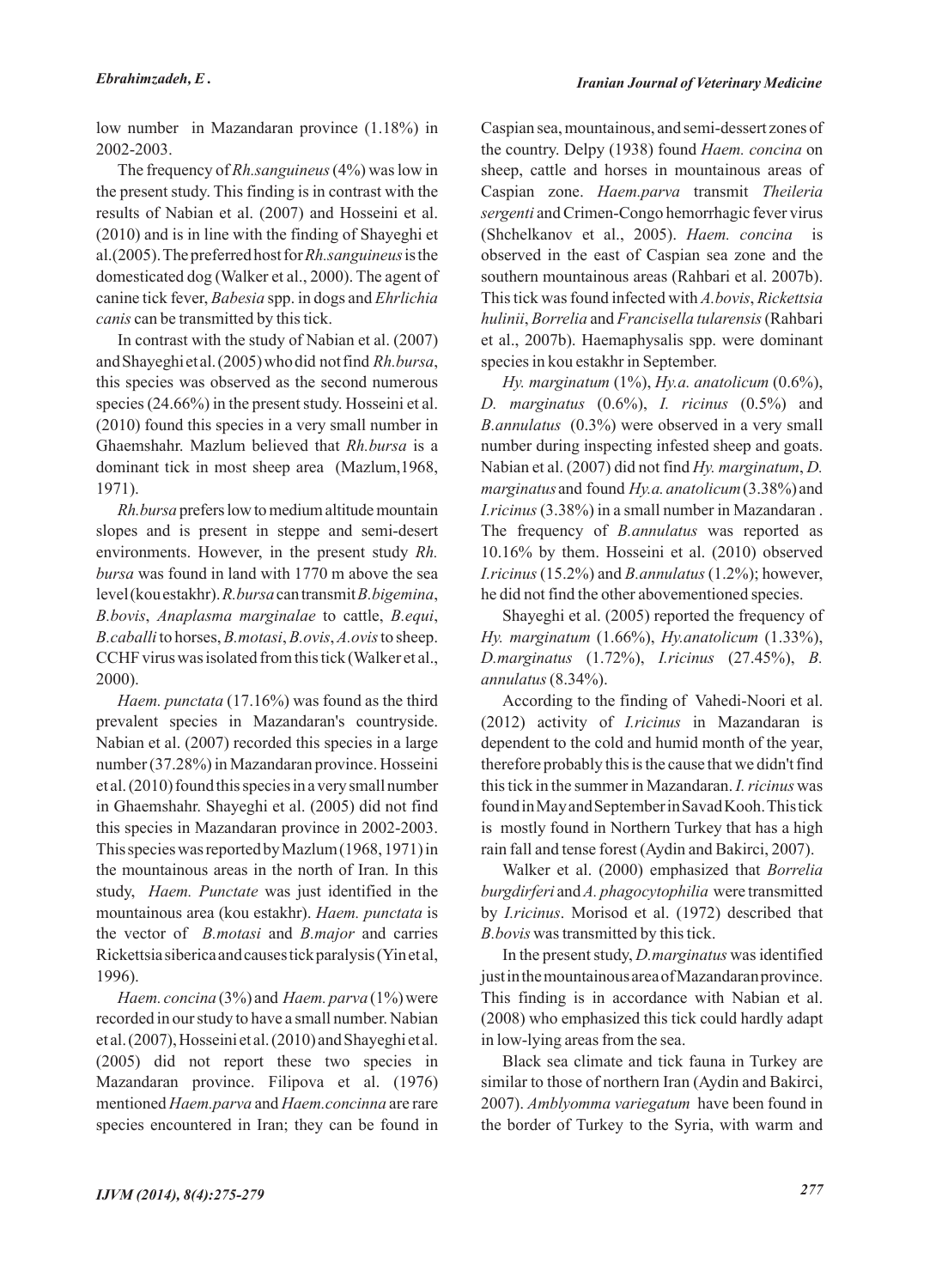low number in Mazandaran province (1.18%) in 2002-2003.

The frequency of *Rh.sanguineus*(4%) was low in the present study. This finding is in contrast with the results of Nabian et al. (2007) and Hosseini et al. (2010) and is in line with the finding of Shayeghi et al.(2005). The preferred host for *Rh.sanguineus*is the domesticated dog (Walker et al., 2000). The agent of canine tick fever, *Babesia* spp. in dogs and *Ehrlichia canis* can be transmitted by this tick.

In contrast with the study of Nabian et al. (2007) and Shayeghi et al. (2005) who did not find *Rh.bursa*, this species was observed as the second numerous species (24.66%) in the present study. Hosseini et al. (2010) found this species in a very small number in Ghaemshahr. Mazlum believed that *Rh.bursa* is a dominant tick in most sheep area (Mazlum,1968, 1971).

*Rh.bursa* prefers low to medium altitude mountain slopes and is present in steppe and semi-desert environments. However, in the present study *Rh. bursa* was found in land with 1770 m above the sea level (kou estakhr). *R.bursa*can transmit *B.bigemina*, *B.bovis*, *Anaplasma marginalae* to cattle, *B.equi*, *B.caballi* to horses, *B.motasi*, *B.ovis*, *A.ovis*to sheep. CCHF virus was isolated from this tick (Walker et al., 2000).

*Haem. punctata* (17.16%) was found as the third prevalent species in Mazandaran's countryside. Nabian et al. (2007) recorded this species in a large number (37.28%) in Mazandaran province. Hosseini et al. (2010) found this species in a very small number in Ghaemshahr. Shayeghi et al. (2005) did not find this species in Mazandaran province in 2002-2003. This species was reported by Mazlum (1968, 1971) in the mountainous areas in the north of Iran. In this study, *Haem. Punctate* was just identified in the mountainous area (kou estakhr). *Haem. punctata* is the vector of *B.motasi* and *B.major* and carries Rickettsia siberica and causes tick paralysis (Yin et al, 1996).

*Haem. concina* (3%) and *Haem. parva* (1%) were recorded in our study to have a small number. Nabian et al. (2007), Hosseini et al. (2010) and Shayeghi et al. (2005) did not report these two species in Mazandaran province. Filipova et al. (1976) mentioned *Haem.parva* and *Haem.concinna* are rare species encountered in Iran; they can be found in Caspian sea, mountainous, and semi-dessert zones of the country. Delpy (1938) found *Haem. concina* on sheep, cattle and horses in mountainous areas of Caspian zone. *Haem.parva* transmit *Theileria sergenti* and Crimen-Congo hemorrhagic fever virus (Shchelkanov et al., 2005). *Haem. concina* is observed in the east of Caspian sea zone and the southern mountainous areas (Rahbari et al. 2007b). This tick was found infected with *A.bovis*, *Rickettsia hulinii*, *Borrelia* and *Francisella tularensis*(Rahbari et al., 2007b). Haemaphysalis spp. were dominant species in kou estakhr in September.

*Hy. marginatum* (1%), *Hy.a. anatolicum* (0.6%), *D. marginatus* (0.6%), *I. ricinus* (0.5%) and *B.annulatus* (0.3%) were observed in a very small number during inspecting infested sheep and goats. Nabian et al. (2007) did not find *Hy. marginatum*, *D. marginatus* and found *Hy.a. anatolicum*(3.38%) and *I.ricinus*(3.38%) in a small number in Mazandaran . The frequency of *B.annulatus* was reported as 10.16% by them. Hosseini et al. (2010) observed *I.ricinus* (15.2%) and *B.annulatus* (1.2%); however, he did not find the other abovementioned species.

Shayeghi et al. (2005) reported the frequency of *Hy. marginatum* (1.66%), *Hy.anatolicum* (1.33%), *D.marginatus* (1.72%), *I.ricinus* (27.45%), *B. annulatus*(8.34%).

According to the finding of Vahedi-Noori et al. (2012) activity of *I.ricinus* in Mazandaran is dependent to the cold and humid month of the year, therefore probably this is the cause that we didn't find this tick in the summer in Mazandaran. *I. ricinus* was found in May and September in Savad Kooh. This tick is mostly found in Northern Turkey that has a high rain fall and tense forest (Aydin and Bakirci, 2007).

Walker et al. (2000) emphasized that *Borrelia burgdirferi* and *A. phagocytophilia* were transmitted by *I.ricinus*. Morisod et al. (1972) described that *B.bovis* was transmitted by this tick.

In the present study, *D.marginatus* was identified just in the mountainous area of Mazandaran province. This finding is in accordance with Nabian et al. (2008) who emphasized this tick could hardly adapt in low-lying areas from the sea.

Black sea climate and tick fauna in Turkey are similar to those of northern Iran (Aydin and Bakirci, 2007). *Amblyomma variegatum* have been found in the border of Turkey to the Syria, with warm and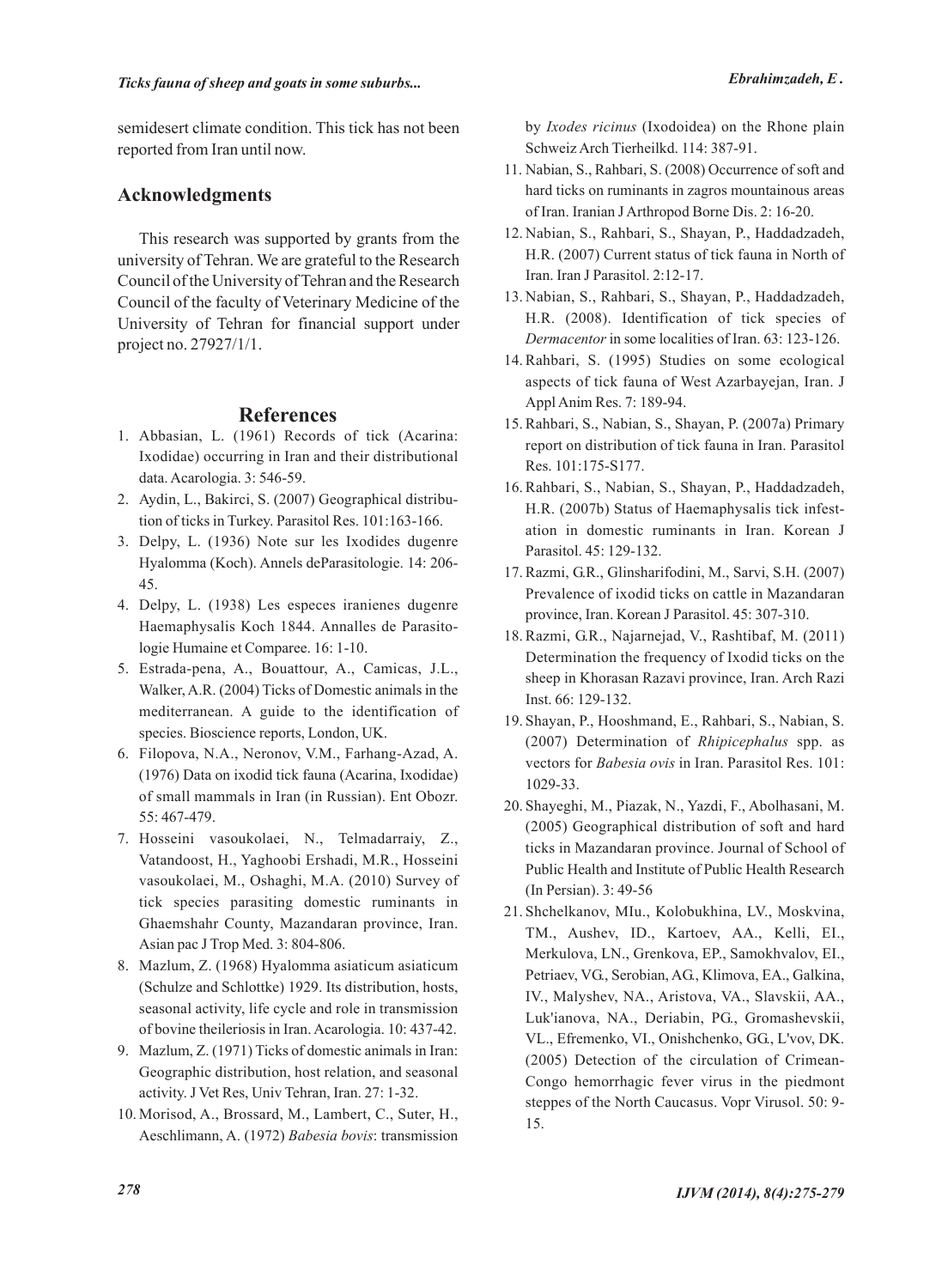semidesert climate condition. This tick has not been reported from Iran until now.

## **Acknowledgments**

This research was supported by grants from the university of Tehran. We are grateful to the Research Council of the University of Tehran and the Research Council of the faculty of Veterinary Medicine of the University of Tehran for financial support under project no. 27927/1/1.

## **References**

- Abbasian, L. (1961) Records of tick (Acarina: 1. Ixodidae) occurring in Iran and their distributional data. Acarologia. 3: 546-59.
- Aydin, L., Bakirci, S. (2007) Geographical distribu-2. tion of ticks in Turkey. Parasitol Res. 101:163-166.
- 3. Delpy, L. (1936) Note sur les Ixodides dugenre Hyalomma (Koch). Annels deParasitologie. 14: 206- 45.
- Delpy, L. (1938) Les especes iranienes dugenre 4. Haemaphysalis Koch 1844. Annalles de Parasitologie Humaine et Comparee. 16: 1-10.
- Estrada-pena, A., Bouattour, A., Camicas, J.L., 5. Walker, A.R. (2004) Ticks of Domestic animals in the mediterranean. A guide to the identification of species. Bioscience reports, London, UK.
- 6. Filopova, N.A., Neronov, V.M., Farhang-Azad, A. (1976) Data on ixodid tick fauna (Acarina, Ixodidae) of small mammals in Iran (in Russian). Ent Obozr. 55: 467-479.
- 7. Hosseini vasoukolaei, N., Telmadarraiy, Z., Vatandoost, H., Yaghoobi Ershadi, M.R., Hosseini vasoukolaei, M., Oshaghi, M.A. (2010) Survey of tick species parasiting domestic ruminants in Ghaemshahr County, Mazandaran province, Iran. Asian pac J Trop Med. 3: 804-806.
- Mazlum, Z. (1968) Hyalomma asiaticum asiaticum 8. (Schulze and Schlottke) 1929. Its distribution, hosts, seasonal activity, life cycle and role in transmission of bovine theileriosis in Iran. Acarologia. 10: 437-42.
- Mazlum, Z. (1971) Ticks of domestic animals in Iran: 9. Geographic distribution, host relation, and seasonal activity. J Vet Res, Univ Tehran, Iran. 27: 1-32.
- 10. Morisod, A., Brossard, M., Lambert, C., Suter, H., Aeschlimann, A. (1972) *Babesia bovis*: transmission

by *Ixodes ricinus* (Ixodoidea) on the Rhone plain Schweiz Arch Tierheilkd. 114: 387-91.

- 11. Nabian, S., Rahbari, S. (2008) Occurrence of soft and hard ticks on ruminants in zagros mountainous areas of Iran. Iranian J Arthropod Borne Dis. 2: 16-20.
- 12. Nabian, S., Rahbari, S., Shayan, P., Haddadzadeh, H.R. (2007) Current status of tick fauna in North of Iran. Iran J Parasitol. 2:12-17.
- 13. Nabian, S., Rahbari, S., Shayan, P., Haddadzadeh, H.R. (2008). Identification of tick species of *Dermacentor* in some localities of Iran. 63: 123-126.
- 14. Rahbari, S. (1995) Studies on some ecological aspects of tick fauna of West Azarbayejan, Iran. J Appl Anim Res. 7: 189-94.
- Rahbari, S., Nabian, S., Shayan, P. (2007a) Primary 15. report on distribution of tick fauna in Iran. Parasitol Res. 101:175-S177.
- 16. Rahbari, S., Nabian, S., Shayan, P., Haddadzadeh, H.R. (2007b) Status of Haemaphysalis tick infestation in domestic ruminants in Iran. Korean J Parasitol. 45: 129-132.
- 17. Razmi, G.R., Glinsharifodini, M., Sarvi, S.H. (2007) Prevalence of ixodid ticks on cattle in Mazandaran province, Iran. Korean J Parasitol. 45: 307-310.
- 18. Razmi, G.R., Najarnejad, V., Rashtibaf, M. (2011) Determination the frequency of Ixodid ticks on the sheep in Khorasan Razavi province, Iran. Arch Razi Inst. 66: 129-132.
- 19. Shayan, P., Hooshmand, E., Rahbari, S., Nabian, S. (2007) Determination of *Rhipicephalus* spp. as vectors for *Babesia ovis* in Iran. Parasitol Res. 101: 1029-33.
- 20. Shayeghi, M., Piazak, N., Yazdi, F., Abolhasani, M. (2005) Geographical distribution of soft and hard ticks in Mazandaran province. Journal of School of Public Health and Institute of Public Health Research (In Persian). 3: 49-56
- 21. Shchelkanov, MIu., Kolobukhina, LV., Moskvina, TM., Aushev, ID., Kartoev, AA., Kelli, EI., Merkulova, LN., Grenkova, EP., Samokhvalov, EI., Petriaev, VG., Serobian, AG., Klimova, EA., Galkina, IV., Malyshev, NA., Aristova, VA., Slavskii, AA., Luk'ianova, NA., Deriabin, PG., Gromashevskii, VL., Efremenko, VI., Onishchenko, GG., L'vov, DK. (2005) Detection of the circulation of Crimean-Congo hemorrhagic fever virus in the piedmont steppes of the North Caucasus. Vopr Virusol. 50: 9- 15.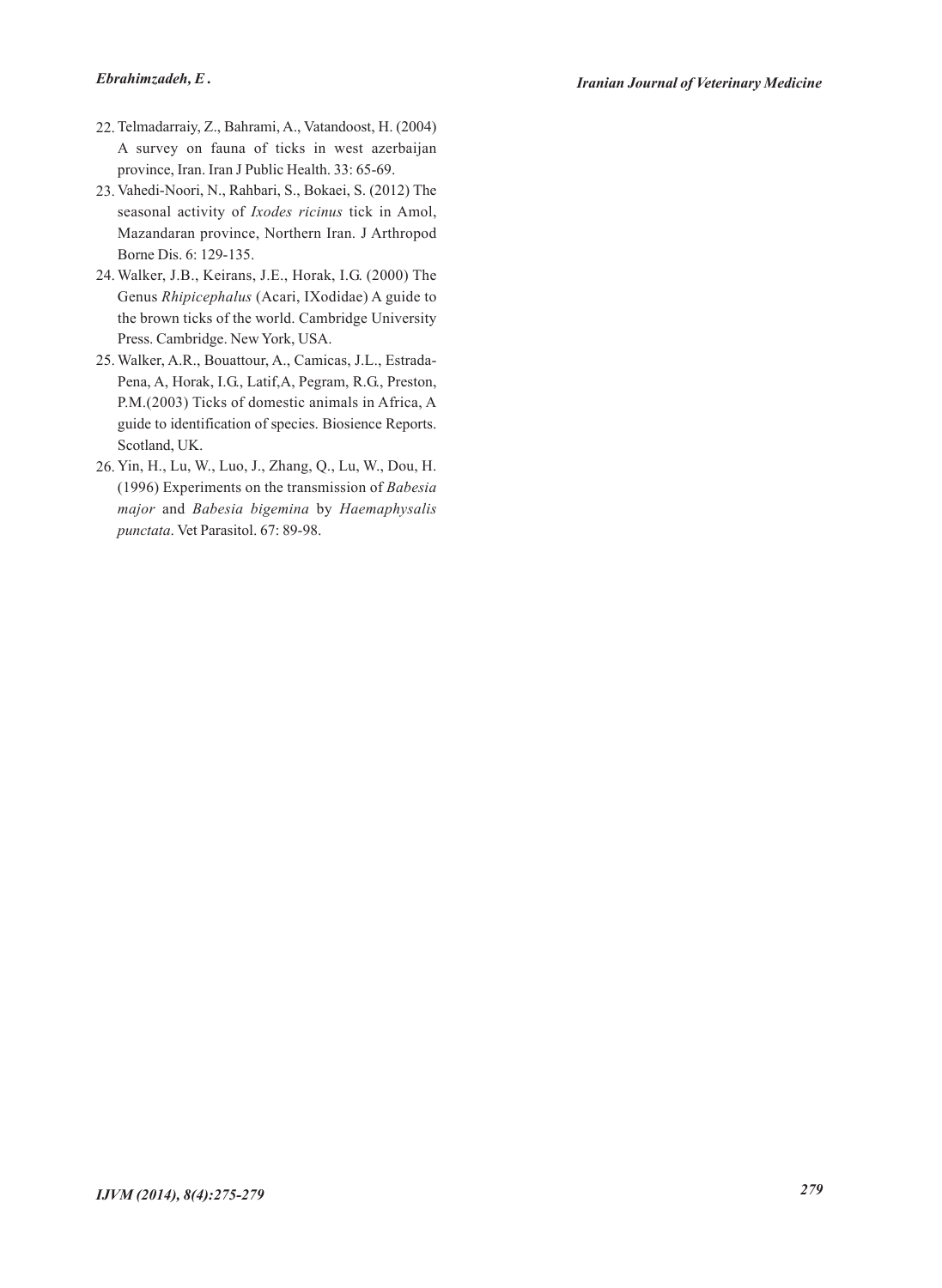- 22. Telmadarraiy, Z., Bahrami, A., Vatandoost, H. (2004) A survey on fauna of ticks in west azerbaijan province, Iran. Iran J Public Health. 33: 65-69.
- 23. Vahedi-Noori, N., Rahbari, S., Bokaei, S. (2012) The seasonal activity of *Ixodes ricinus* tick in Amol, Mazandaran province, Northern Iran. J Arthropod Borne Dis. 6: 129-135.
- Walker, J.B., Keirans, J.E., Horak, I.G. (2000) The 24. Genus *Rhipicephalus* (Acari, IXodidae) A guide to the brown ticks of the world. Cambridge University Press. Cambridge. New York, USA.
- 25. Walker, A.R., Bouattour, A., Camicas, J.L., Estrada-Pena, A, Horak, I.G., Latif,A, Pegram, R.G., Preston, P.M.(2003) Ticks of domestic animals in Africa, A guide to identification of species. Biosience Reports. Scotland, UK.
- Yin, H., Lu, W., Luo, J., Zhang, Q., Lu, W., Dou, H. 26.(1996) Experiments on the transmission of *Babesia major* and *Babesia bigemina* by *Haemaphysalis punctata*. Vet Parasitol. 67: 89-98.